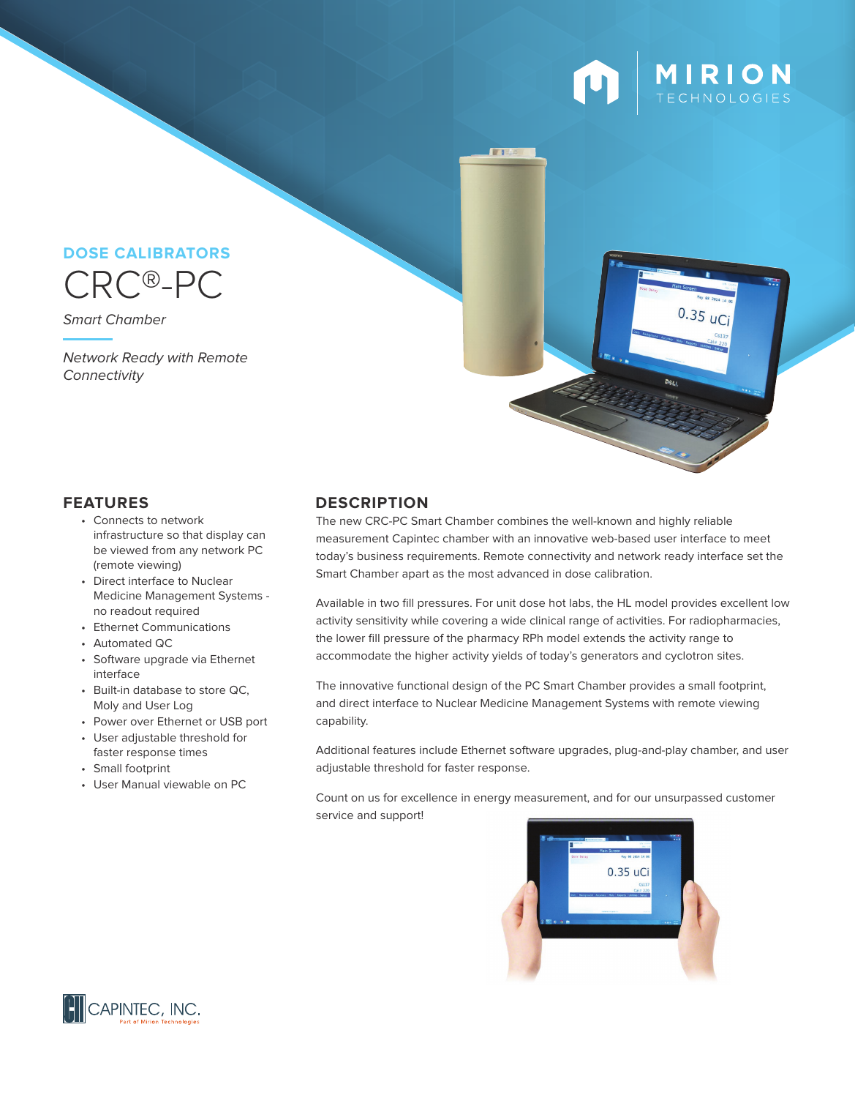

 $0.35$  uCi

# CRC®-PC **DOSE CALIBRATORS**

Smart Chamber

Network Ready with Remote **Connectivity** 

- Connects to network infrastructure so that display can be viewed from any network PC (remote viewing)
- Direct interface to Nuclear Medicine Management Systems no readout required
- Ethernet Communications
- Automated QC
- Software upgrade via Ethernet interface
- Built-in database to store QC, Moly and User Log
- Power over Ethernet or USB port
- User adjustable threshold for faster response times
- Small footprint
- User Manual viewable on PC

### **FEATURES DESCRIPTION**

The new CRC-PC Smart Chamber combines the well-known and highly reliable measurement Capintec chamber with an innovative web-based user interface to meet today's business requirements. Remote connectivity and network ready interface set the Smart Chamber apart as the most advanced in dose calibration.

Available in two fill pressures. For unit dose hot labs, the HL model provides excellent low activity sensitivity while covering a wide clinical range of activities. For radiopharmacies, the lower fill pressure of the pharmacy RPh model extends the activity range to accommodate the higher activity yields of today's generators and cyclotron sites.

The innovative functional design of the PC Smart Chamber provides a small footprint, and direct interface to Nuclear Medicine Management Systems with remote viewing capability.

Additional features include Ethernet software upgrades, plug-and-play chamber, and user adjustable threshold for faster response.

Count on us for excellence in energy measurement, and for our unsurpassed customer service and support!